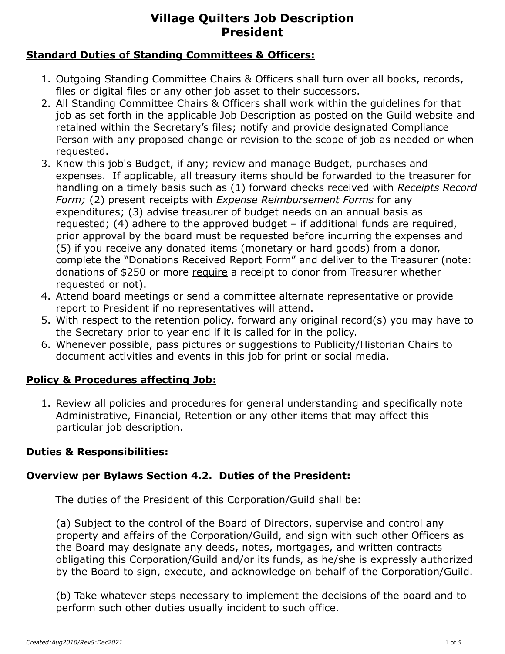#### **Standard Duties of Standing Committees & Officers:**

- 1. Outgoing Standing Committee Chairs & Officers shall turn over all books, records, files or digital files or any other job asset to their successors.
- 2. All Standing Committee Chairs & Officers shall work within the guidelines for that job as set forth in the applicable Job Description as posted on the Guild website and retained within the Secretary's files; notify and provide designated Compliance Person with any proposed change or revision to the scope of job as needed or when requested.
- 3. Know this job's Budget, if any; review and manage Budget, purchases and expenses. If applicable, all treasury items should be forwarded to the treasurer for handling on a timely basis such as (1) forward checks received with *Receipts Record Form;* (2) present receipts with *Expense Reimbursement Forms* for any expenditures; (3) advise treasurer of budget needs on an annual basis as requested; (4) adhere to the approved budget – if additional funds are required, prior approval by the board must be requested before incurring the expenses and (5) if you receive any donated items (monetary or hard goods) from a donor, complete the "Donations Received Report Form" and deliver to the Treasurer (note: donations of \$250 or more require a receipt to donor from Treasurer whether requested or not).
- 4. Attend board meetings or send a committee alternate representative or provide report to President if no representatives will attend.
- 5. With respect to the retention policy, forward any original record(s) you may have to the Secretary prior to year end if it is called for in the policy.
- 6. Whenever possible, pass pictures or suggestions to Publicity/Historian Chairs to document activities and events in this job for print or social media.

#### **Policy & Procedures affecting Job:**

1. Review all policies and procedures for general understanding and specifically note Administrative, Financial, Retention or any other items that may affect this particular job description.

#### **Duties & Responsibilities:**

## **Overview per Bylaws Section 4.2. Duties of the President:**

The duties of the President of this Corporation/Guild shall be:

(a) Subject to the control of the Board of Directors, supervise and control any property and affairs of the Corporation/Guild, and sign with such other Officers as the Board may designate any deeds, notes, mortgages, and written contracts obligating this Corporation/Guild and/or its funds, as he/she is expressly authorized by the Board to sign, execute, and acknowledge on behalf of the Corporation/Guild.

(b) Take whatever steps necessary to implement the decisions of the board and to perform such other duties usually incident to such office.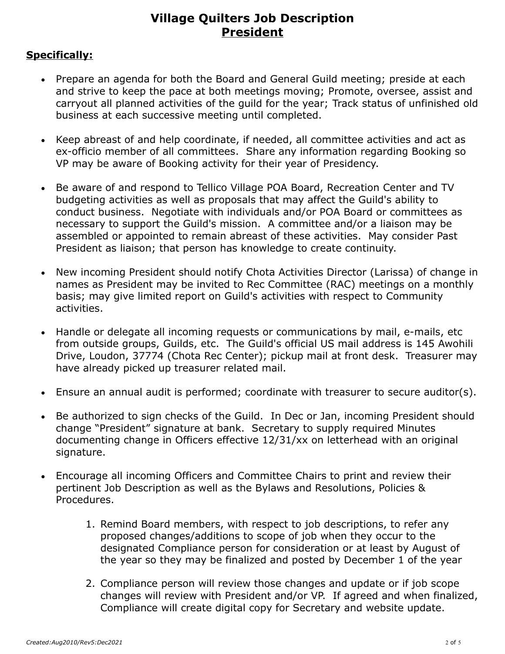#### **Specifically:**

- Prepare an agenda for both the Board and General Guild meeting; preside at each and strive to keep the pace at both meetings moving; Promote, oversee, assist and carryout all planned activities of the guild for the year; Track status of unfinished old business at each successive meeting until completed.
- Keep abreast of and help coordinate, if needed, all committee activities and act as ex-officio member of all committees. Share any information regarding Booking so VP may be aware of Booking activity for their year of Presidency.
- Be aware of and respond to Tellico Village POA Board, Recreation Center and TV budgeting activities as well as proposals that may affect the Guild's ability to conduct business. Negotiate with individuals and/or POA Board or committees as necessary to support the Guild's mission. A committee and/or a liaison may be assembled or appointed to remain abreast of these activities. May consider Past President as liaison; that person has knowledge to create continuity.
- New incoming President should notify Chota Activities Director (Larissa) of change in names as President may be invited to Rec Committee (RAC) meetings on a monthly basis; may give limited report on Guild's activities with respect to Community activities.
- Handle or delegate all incoming requests or communications by mail, e-mails, etc from outside groups, Guilds, etc. The Guild's official US mail address is 145 Awohili Drive, Loudon, 37774 (Chota Rec Center); pickup mail at front desk. Treasurer may have already picked up treasurer related mail.
- Ensure an annual audit is performed; coordinate with treasurer to secure auditor(s).
- Be authorized to sign checks of the Guild. In Dec or Jan, incoming President should change "President" signature at bank. Secretary to supply required Minutes documenting change in Officers effective 12/31/xx on letterhead with an original signature.
- Encourage all incoming Officers and Committee Chairs to print and review their pertinent Job Description as well as the Bylaws and Resolutions, Policies & Procedures.
	- 1. Remind Board members, with respect to job descriptions, to refer any proposed changes/additions to scope of job when they occur to the designated Compliance person for consideration or at least by August of the year so they may be finalized and posted by December 1 of the year
	- 2. Compliance person will review those changes and update or if job scope changes will review with President and/or VP. If agreed and when finalized, Compliance will create digital copy for Secretary and website update.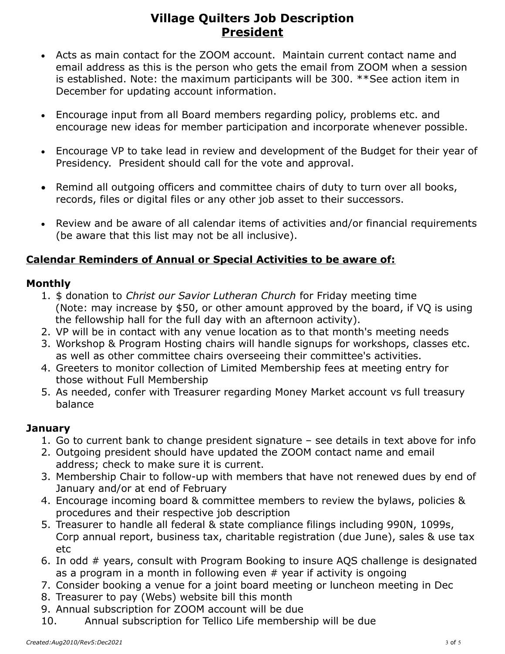- Acts as main contact for the ZOOM account. Maintain current contact name and email address as this is the person who gets the email from ZOOM when a session is established. Note: the maximum participants will be 300. \*\*See action item in December for updating account information.
- Encourage input from all Board members regarding policy, problems etc. and encourage new ideas for member participation and incorporate whenever possible.
- Encourage VP to take lead in review and development of the Budget for their year of Presidency. President should call for the vote and approval.
- Remind all outgoing officers and committee chairs of duty to turn over all books, records, files or digital files or any other job asset to their successors.
- Review and be aware of all calendar items of activities and/or financial requirements (be aware that this list may not be all inclusive).

### **Calendar Reminders of Annual or Special Activities to be aware of:**

#### **Monthly**

- 1. \$ donation to *Christ our Savior Lutheran Church* for Friday meeting time (Note: may increase by \$50, or other amount approved by the board, if VQ is using the fellowship hall for the full day with an afternoon activity).
- 2. VP will be in contact with any venue location as to that month's meeting needs
- 3. Workshop & Program Hosting chairs will handle signups for workshops, classes etc. as well as other committee chairs overseeing their committee's activities.
- 4. Greeters to monitor collection of Limited Membership fees at meeting entry for those without Full Membership
- 5. As needed, confer with Treasurer regarding Money Market account vs full treasury balance

#### **January**

- 1. Go to current bank to change president signature see details in text above for info
- 2. Outgoing president should have updated the ZOOM contact name and email address; check to make sure it is current.
- 3. Membership Chair to follow-up with members that have not renewed dues by end of January and/or at end of February
- 4. Encourage incoming board & committee members to review the bylaws, policies & procedures and their respective job description
- 5. Treasurer to handle all federal & state compliance filings including 990N, 1099s, Corp annual report, business tax, charitable registration (due June), sales & use tax etc
- 6. In odd # years, consult with Program Booking to insure AQS challenge is designated as a program in a month in following even # year if activity is ongoing
- 7. Consider booking a venue for a joint board meeting or luncheon meeting in Dec
- 8. Treasurer to pay (Webs) website bill this month
- 9. Annual subscription for ZOOM account will be due
- 10. Annual subscription for Tellico Life membership will be due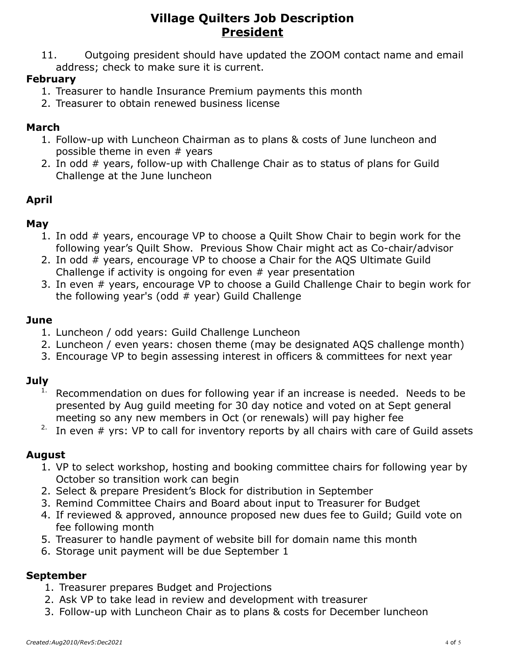11. Outgoing president should have updated the ZOOM contact name and email address; check to make sure it is current.

## **February**

- 1. Treasurer to handle Insurance Premium payments this month
- 2. Treasurer to obtain renewed business license

## **March**

- 1. Follow-up with Luncheon Chairman as to plans & costs of June luncheon and possible theme in even # years
- 2. In odd # years, follow-up with Challenge Chair as to status of plans for Guild Challenge at the June luncheon

## **April**

### **May**

- 1. In odd # years, encourage VP to choose a Quilt Show Chair to begin work for the following year's Quilt Show. Previous Show Chair might act as Co-chair/advisor
- 2. In odd # years, encourage VP to choose a Chair for the AQS Ultimate Guild Challenge if activity is ongoing for even  $#$  year presentation
- 3. In even # years, encourage VP to choose a Guild Challenge Chair to begin work for the following year's (odd  $#$  year) Guild Challenge

### **June**

- 1. Luncheon / odd years: Guild Challenge Luncheon
- 2. Luncheon / even years: chosen theme (may be designated AQS challenge month)
- 3. Encourage VP to begin assessing interest in officers & committees for next year

## **July**

- $1.$  Recommendation on dues for following year if an increase is needed. Needs to be presented by Aug guild meeting for 30 day notice and voted on at Sept general meeting so any new members in Oct (or renewals) will pay higher fee
- <sup>2.</sup> In even  $#$  yrs: VP to call for inventory reports by all chairs with care of Guild assets

## **August**

- 1. VP to select workshop, hosting and booking committee chairs for following year by October so transition work can begin
- 2. Select & prepare President's Block for distribution in September
- 3. Remind Committee Chairs and Board about input to Treasurer for Budget
- 4. If reviewed & approved, announce proposed new dues fee to Guild; Guild vote on fee following month
- 5. Treasurer to handle payment of website bill for domain name this month
- 6. Storage unit payment will be due September 1

## **September**

- 1. Treasurer prepares Budget and Projections
- 2. Ask VP to take lead in review and development with treasurer
- 3. Follow-up with Luncheon Chair as to plans & costs for December luncheon